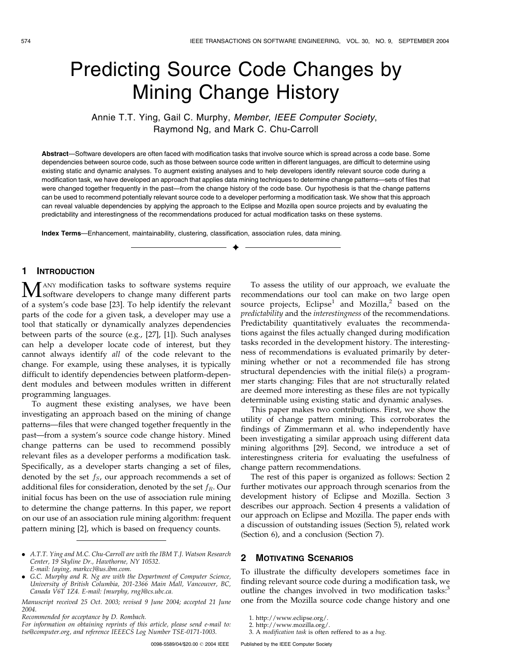# Predicting Source Code Changes by Mining Change History

Annie T.T. Ying, Gail C. Murphy, Member, IEEE Computer Society, Raymond Ng, and Mark C. Chu-Carroll

Abstract—Software developers are often faced with modification tasks that involve source which is spread across a code base. Some dependencies between source code, such as those between source code written in different languages, are difficult to determine using existing static and dynamic analyses. To augment existing analyses and to help developers identify relevant source code during a modification task, we have developed an approach that applies data mining techniques to determine change patterns—sets of files that were changed together frequently in the past—from the change history of the code base. Our hypothesis is that the change patterns can be used to recommend potentially relevant source code to a developer performing a modification task. We show that this approach can reveal valuable dependencies by applying the approach to the Eclipse and Mozilla open source projects and by evaluating the predictability and interestingness of the recommendations produced for actual modification tasks on these systems.

▲

Index Terms—Enhancement, maintainability, clustering, classification, association rules, data mining.

# 1 INTRODUCTION

MANY modification tasks to software systems require<br>
software developers to change many different parts of a system's code base [23]. To help identify the relevant parts of the code for a given task, a developer may use a tool that statically or dynamically analyzes dependencies between parts of the source (e.g., [27], [1]). Such analyses can help a developer locate code of interest, but they cannot always identify all of the code relevant to the change. For example, using these analyses, it is typically difficult to identify dependencies between platform-dependent modules and between modules written in different programming languages.

To augment these existing analyses, we have been investigating an approach based on the mining of change patterns—files that were changed together frequently in the past—from a system's source code change history. Mined change patterns can be used to recommend possibly relevant files as a developer performs a modification task. Specifically, as a developer starts changing a set of files, denoted by the set  $f<sub>S</sub>$ , our approach recommends a set of additional files for consideration, denoted by the set  $f_R$ . Our initial focus has been on the use of association rule mining to determine the change patterns. In this paper, we report on our use of an association rule mining algorithm: frequent pattern mining [2], which is based on frequency counts.

For information on obtaining reprints of this article, please send e-mail to: tse@computer.org, and reference IEEECS Log Number TSE-0171-1003.

To assess the utility of our approach, we evaluate the recommendations our tool can make on two large open source projects,  $Eclipse<sup>1</sup>$  and  $Mozilla<sup>2</sup>$  based on the predictability and the interestingness of the recommendations. Predictability quantitatively evaluates the recommendations against the files actually changed during modification tasks recorded in the development history. The interestingness of recommendations is evaluated primarily by determining whether or not a recommended file has strong structural dependencies with the initial file(s) a programmer starts changing: Files that are not structurally related are deemed more interesting as these files are not typically determinable using existing static and dynamic analyses.

This paper makes two contributions. First, we show the utility of change pattern mining. This corroborates the findings of Zimmermann et al. who independently have been investigating a similar approach using different data mining algorithms [29]. Second, we introduce a set of interestingness criteria for evaluating the usefulness of change pattern recommendations.

The rest of this paper is organized as follows: Section 2 further motivates our approach through scenarios from the development history of Eclipse and Mozilla. Section 3 describes our approach. Section 4 presents a validation of our approach on Eclipse and Mozilla. The paper ends with a discussion of outstanding issues (Section 5), related work (Section 6), and a conclusion (Section 7).

# 2 MOTIVATING SCENARIOS

To illustrate the difficulty developers sometimes face in finding relevant source code during a modification task, we outline the changes involved in two modification tasks:<sup>3</sup> one from the Mozilla source code change history and one

<sup>.</sup> A.T.T. Ying and M.C. Chu-Carroll are with the IBM T.J. Watson Research Center, 19 Skyline Dr., Hawthorne, NY 10532. E-mail: {aying, markcc}@us.ibm.com.

<sup>.</sup> G.C. Murphy and R. Ng are with the Department of Computer Science, University of British Columbia, 201-2366 Main Mall, Vancouver, BC, Canada V6T 1Z4. E-mail: {murphy, rng}@cs.ubc.ca.

Manuscript received 25 Oct. 2003; revised 9 June 2004; accepted 21 June 2004.

Recommended for acceptance by D. Rombach.

<sup>1.</sup> http://www.eclipse.org/.

<sup>2.</sup> http://www.mozilla.org/.

<sup>3.</sup> A modification task is often reffered to as a bug.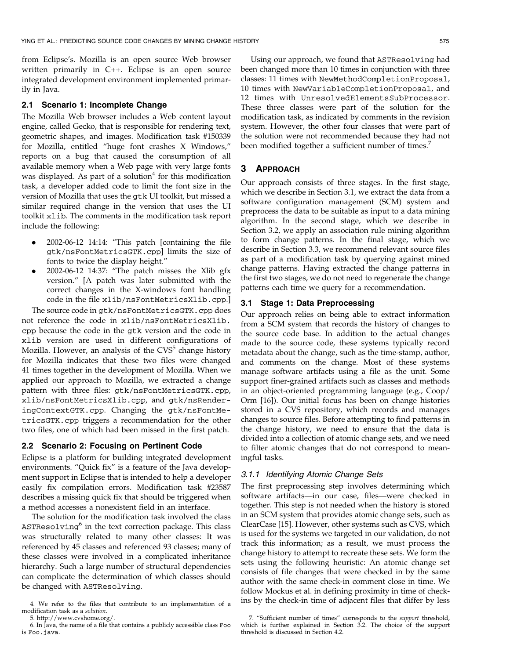from Eclipse's. Mozilla is an open source Web browser written primarily in C++. Eclipse is an open source integrated development environment implemented primarily in Java.

#### 2.1 Scenario 1: Incomplete Change

The Mozilla Web browser includes a Web content layout engine, called Gecko, that is responsible for rendering text, geometric shapes, and images. Modification task #150339 for Mozilla, entitled "huge font crashes X Windows," reports on a bug that caused the consumption of all available memory when a Web page with very large fonts was displayed. As part of a solution $4$  for this modification task, a developer added code to limit the font size in the version of Mozilla that uses the gtk UI toolkit, but missed a similar required change in the version that uses the UI toolkit xlib. The comments in the modification task report include the following:

- . 2002-06-12 14:14: "This patch [containing the file gtk/nsFontMetricsGTK.cpp] limits the size of fonts to twice the display height."
- . 2002-06-12 14:37: "The patch misses the Xlib gfx version." [A patch was later submitted with the correct changes in the X-windows font handling code in the file xlib/nsFontMetricsXlib.cpp.]

The source code in gtk/nsFontMetricsGTK.cpp does not reference the code in xlib/nsFontMetricsXlib. cpp because the code in the gtk version and the code in xlib version are used in different configurations of Mozilla. However, an analysis of the  $CVS<sup>5</sup>$  change history for Mozilla indicates that these two files were changed 41 times together in the development of Mozilla. When we applied our approach to Mozilla, we extracted a change pattern with three files: gtk/nsFontMetricsGTK.cpp, xlib/nsFontMetricsXlib.cpp, and gtk/nsRenderingContextGTK.cpp. Changing the gtk/nsFontMetricsGTK.cpp triggers a recommendation for the other two files, one of which had been missed in the first patch.

# 2.2 Scenario 2: Focusing on Pertinent Code

Eclipse is a platform for building integrated development environments. "Quick fix" is a feature of the Java development support in Eclipse that is intended to help a developer easily fix compilation errors. Modification task #23587 describes a missing quick fix that should be triggered when a method accesses a nonexistent field in an interface.

The solution for the modification task involved the class  $ASTResolving<sup>6</sup>$  in the text correction package. This class was structurally related to many other classes: It was referenced by 45 classes and referenced 93 classes; many of these classes were involved in a complicated inheritance hierarchy. Such a large number of structural dependencies can complicate the determination of which classes should be changed with ASTResolving.

Using our approach, we found that ASTResolving had been changed more than 10 times in conjunction with three classes: 11 times with NewMethodCompletionProposal, 10 times with NewVariableCompletionProposal, and 12 times with UnresolvedElementsSubProcessor. These three classes were part of the solution for the modification task, as indicated by comments in the revision system. However, the other four classes that were part of the solution were not recommended because they had not been modified together a sufficient number of times.<sup>7</sup>

# 3 APPROACH

Our approach consists of three stages. In the first stage, which we describe in Section 3.1, we extract the data from a software configuration management (SCM) system and preprocess the data to be suitable as input to a data mining algorithm. In the second stage, which we describe in Section 3.2, we apply an association rule mining algorithm to form change patterns. In the final stage, which we describe in Section 3.3, we recommend relevant source files as part of a modification task by querying against mined change patterns. Having extracted the change patterns in the first two stages, we do not need to regenerate the change patterns each time we query for a recommendation.

# 3.1 Stage 1: Data Preprocessing

Our approach relies on being able to extract information from a SCM system that records the history of changes to the source code base. In addition to the actual changes made to the source code, these systems typically record metadata about the change, such as the time-stamp, author, and comments on the change. Most of these systems manage software artifacts using a file as the unit. Some support finer-grained artifacts such as classes and methods in an object-oriented programming language (e.g., Coop/ Orm [16]). Our initial focus has been on change histories stored in a CVS repository, which records and manages changes to source files. Before attempting to find patterns in the change history, we need to ensure that the data is divided into a collection of atomic change sets, and we need to filter atomic changes that do not correspond to meaningful tasks.

# 3.1.1 Identifying Atomic Change Sets

The first preprocessing step involves determining which software artifacts—in our case, files—were checked in together. This step is not needed when the history is stored in an SCM system that provides atomic change sets, such as ClearCase [15]. However, other systems such as CVS, which is used for the systems we targeted in our validation, do not track this information; as a result, we must process the change history to attempt to recreate these sets. We form the sets using the following heuristic: An atomic change set consists of file changes that were checked in by the same author with the same check-in comment close in time. We follow Mockus et al. in defining proximity in time of checkins by the check-in time of adjacent files that differ by less

<sup>4.</sup> We refer to the files that contribute to an implementation of a modification task as a solution.

<sup>5.</sup> http://www.cvshome.org/.

<sup>6.</sup> In Java, the name of a file that contains a publicly accessible class Foo is Foo.java.

<sup>7. &</sup>quot;Sufficient number of times" corresponds to the support threshold, which is further explained in Section 3.2. The choice of the support threshold is discussed in Section 4.2.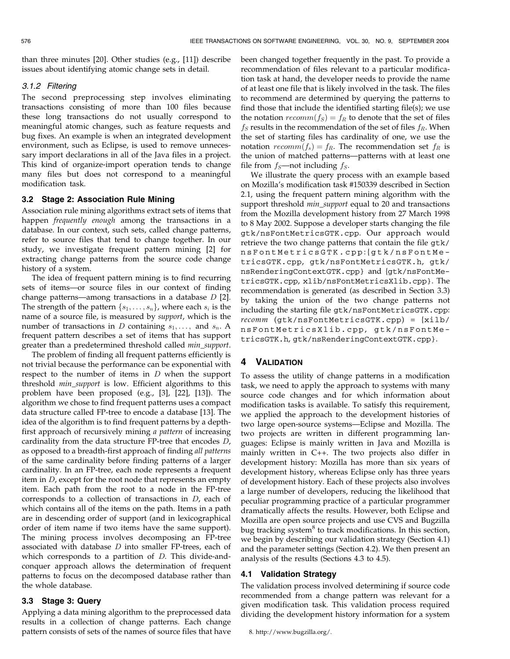than three minutes [20]. Other studies (e.g., [11]) describe issues about identifying atomic change sets in detail.

# 3.1.2 Filtering

The second preprocessing step involves eliminating transactions consisting of more than 100 files because these long transactions do not usually correspond to meaningful atomic changes, such as feature requests and bug fixes. An example is when an integrated development environment, such as Eclipse, is used to remove unnecessary import declarations in all of the Java files in a project. This kind of organize-import operation tends to change many files but does not correspond to a meaningful modification task.

#### 3.2 Stage 2: Association Rule Mining

Association rule mining algorithms extract sets of items that happen frequently enough among the transactions in a database. In our context, such sets, called change patterns, refer to source files that tend to change together. In our study, we investigate frequent pattern mining [2] for extracting change patterns from the source code change history of a system.

The idea of frequent pattern mining is to find recurring sets of items—or source files in our context of finding change patterns—among transactions in a database  $D$  [2]. The strength of the pattern  $\{s_1, \ldots, s_n\}$ , where each  $s_i$  is the name of a source file, is measured by support, which is the number of transactions in D containing  $s_1, \ldots,$  and  $s_n$ . A frequent pattern describes a set of items that has support greater than a predetermined threshold called min\_support.

The problem of finding all frequent patterns efficiently is not trivial because the performance can be exponential with respect to the number of items in  $D$  when the support threshold min\_support is low. Efficient algorithms to this problem have been proposed (e.g., [3], [22], [13]). The algorithm we chose to find frequent patterns uses a compact data structure called FP-tree to encode a database [13]. The idea of the algorithm is to find frequent patterns by a depthfirst approach of recursively mining a pattern of increasing cardinality from the data structure FP-tree that encodes  $D$ , as opposed to a breadth-first approach of finding all patterns of the same cardinality before finding patterns of a larger cardinality. In an FP-tree, each node represents a frequent item in  $D$ , except for the root node that represents an empty item. Each path from the root to a node in the FP-tree corresponds to a collection of transactions in  $D$ , each of which contains all of the items on the path. Items in a path are in descending order of support (and in lexicographical order of item name if two items have the same support). The mining process involves decomposing an FP-tree associated with database  $D$  into smaller FP-trees, each of which corresponds to a partition of  $D$ . This divide-andconquer approach allows the determination of frequent patterns to focus on the decomposed database rather than the whole database.

#### 3.3 Stage 3: Query

Applying a data mining algorithm to the preprocessed data results in a collection of change patterns. Each change pattern consists of sets of the names of source files that have been changed together frequently in the past. To provide a recommendation of files relevant to a particular modification task at hand, the developer needs to provide the name of at least one file that is likely involved in the task. The files to recommend are determined by querying the patterns to find those that include the identified starting file(s); we use the notation  $recomm(f_S) = f_R$  to denote that the set of files  $f_S$  results in the recommendation of the set of files  $f_R$ . When the set of starting files has cardinality of one, we use the notation  $recomm(f_s) = f_R$ . The recommendation set  $f_R$  is the union of matched patterns—patterns with at least one file from  $f_S$ —not including  $f_S$ .

We illustrate the query process with an example based on Mozilla's modification task #150339 described in Section 2.1, using the frequent pattern mining algorithm with the support threshold *min\_support* equal to 20 and transactions from the Mozilla development history from 27 March 1998 to 8 May 2002. Suppose a developer starts changing the file gtk/nsFontMetricsGTK.cpp. Our approach would retrieve the two change patterns that contain the file gtk/ nsFontMetricsGTK.cpp : { gtk/nsFontMetricsGTK.cpp, gtk/nsFontMetricsGTK.h, gtk/ nsRenderingContextGTK.cpp} and {gtk/nsFontMetricsGTK.cpp, xlib/nsFontMetricsXlib.cpp}. The recommendation is generated (as described in Section 3.3) by taking the union of the two change patterns not including the starting file gtk/nsFontMetricsGTK.cpp:  $recomm$  (gtk/nsFontMetricsGTK.cpp) = {xilb/ nsFontMetricsXlib.cpp, gtk/nsFontMetricsGTK.h, gtk/nsRenderingContextGTK.cpp}.

# 4 VALIDATION

To assess the utility of change patterns in a modification task, we need to apply the approach to systems with many source code changes and for which information about modification tasks is available. To satisfy this requirement, we applied the approach to the development histories of two large open-source systems—Eclipse and Mozilla. The two projects are written in different programming languages: Eclipse is mainly written in Java and Mozilla is mainly written in C++. The two projects also differ in development history: Mozilla has more than six years of development history, whereas Eclipse only has three years of development history. Each of these projects also involves a large number of developers, reducing the likelihood that peculiar programming practice of a particular programmer dramatically affects the results. However, both Eclipse and Mozilla are open source projects and use CVS and Bugzilla bug tracking system<sup>8</sup> to track modifications. In this section, we begin by describing our validation strategy (Section 4.1) and the parameter settings (Section 4.2). We then present an analysis of the results (Sections 4.3 to 4.5).

#### 4.1 Validation Strategy

The validation process involved determining if source code recommended from a change pattern was relevant for a given modification task. This validation process required dividing the development history information for a system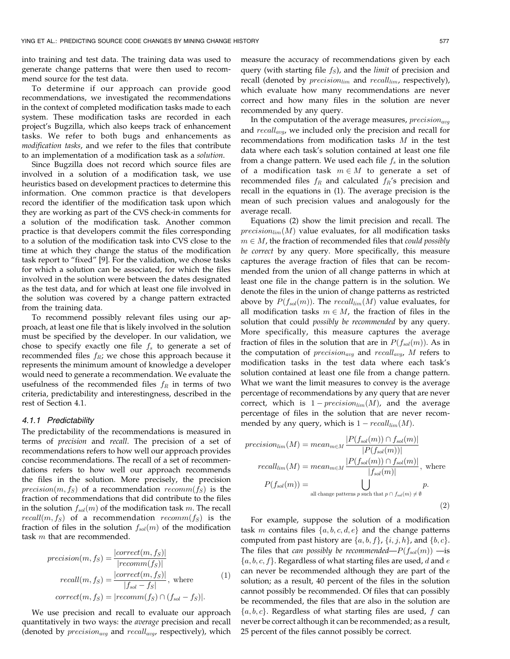into training and test data. The training data was used to generate change patterns that were then used to recommend source for the test data.

To determine if our approach can provide good recommendations, we investigated the recommendations in the context of completed modification tasks made to each system. These modification tasks are recorded in each project's Bugzilla, which also keeps track of enhancement tasks. We refer to both bugs and enhancements as modification tasks, and we refer to the files that contribute to an implementation of a modification task as a solution.

Since Bugzilla does not record which source files are involved in a solution of a modification task, we use heuristics based on development practices to determine this information. One common practice is that developers record the identifier of the modification task upon which they are working as part of the CVS check-in comments for a solution of the modification task. Another common practice is that developers commit the files corresponding to a solution of the modification task into CVS close to the time at which they change the status of the modification task report to "fixed" [9]. For the validation, we chose tasks for which a solution can be associated, for which the files involved in the solution were between the dates designated as the test data, and for which at least one file involved in the solution was covered by a change pattern extracted from the training data.

To recommend possibly relevant files using our approach, at least one file that is likely involved in the solution must be specified by the developer. In our validation, we chose to specify exactly one file  $f_s$  to generate a set of recommended files  $f_R$ ; we chose this approach because it represents the minimum amount of knowledge a developer would need to generate a recommendation. We evaluate the usefulness of the recommended files  $f_R$  in terms of two criteria, predictability and interestingness, described in the rest of Section 4.1.

#### 4.1.1 Predictability

The predictability of the recommendations is measured in terms of precision and recall. The precision of a set of recommendations refers to how well our approach provides concise recommendations. The recall of a set of recommendations refers to how well our approach recommends the files in the solution. More precisely, the precision  $precision(m, f_S)$  of a recommendation  $recomm(f_S)$  is the fraction of recommendations that did contribute to the files in the solution  $f_{sol}(m)$  of the modification task m. The recall recall $(m, f_S)$  of a recommendation recomm $(f_S)$  is the fraction of files in the solution  $f_{sol}(m)$  of the modification task  $m$  that are recommended.

$$
precision(m, fs) = \frac{|correct(m, fs)|}{|recomm(fs)|}
$$

$$
recall(m, fs) = \frac{|correct(m, fs)|}{|fsol - fs|}, \text{ where}
$$

$$
correct(m, fs) = |recomm(fs) \cap (fsol - fs)|.
$$

$$
(1)
$$

We use precision and recall to evaluate our approach quantitatively in two ways: the average precision and recall (denoted by  $precision_{avg}$  and  $recall_{avg}$ , respectively), which measure the accuracy of recommendations given by each query (with starting file  $f<sub>S</sub>$ ), and the *limit* of precision and recall (denoted by  $precision_{lim}$  and  $recall_{lim}$ , respectively), which evaluate how many recommendations are never correct and how many files in the solution are never recommended by any query.

In the computation of the average measures,  $precision_{ava}$ and  $recall_{avg}$ , we included only the precision and recall for recommendations from modification tasks M in the test data where each task's solution contained at least one file from a change pattern. We used each file  $f_s$  in the solution of a modification task  $m \in M$  to generate a set of recommended files  $f_R$  and calculated  $f_R$ 's precision and recall in the equations in (1). The average precision is the mean of such precision values and analogously for the average recall.

Equations (2) show the limit precision and recall. The  $precision_{lim}(M)$  value evaluates, for all modification tasks  $m \in M$ , the fraction of recommended files that could possibly be correct by any query. More specifically, this measure captures the average fraction of files that can be recommended from the union of all change patterns in which at least one file in the change pattern is in the solution. We denote the files in the union of change patterns as restricted above by  $P(f_{sol}(m))$ . The  $recall_{lim}(M)$  value evaluates, for all modification tasks  $m \in M$ , the fraction of files in the solution that could *possibly be recommended* by any query. More specifically, this measure captures the average fraction of files in the solution that are in  $P(f_{sol}(m))$ . As in the computation of  $precision_{avg}$  and  $recall_{avg}$ , M refers to modification tasks in the test data where each task's solution contained at least one file from a change pattern. What we want the limit measures to convey is the average percentage of recommendations by any query that are never correct, which is  $1 - precision_{lim}(M)$ , and the average percentage of files in the solution that are never recommended by any query, which is  $1 - recall_{lim}(M)$ .

$$
precision_{lim}(M) = mean_{m \in M} \frac{|P(f_{sol}(m)) \cap f_{sol}(m)|}{|P(f_{sol}(m))|}
$$

$$
recall_{lim}(M) = mean_{m \in M} \frac{|P(f_{sol}(m)) \cap f_{sol}(m)|}{|f_{sol}(m)|}, \text{ where}
$$

$$
P(f_{sol}(m)) = \bigcup_{\text{all change patterns } p \text{ such that } p \cap f_{sol}(m) \neq \emptyset} p.
$$
(2)

For example, suppose the solution of a modification task *m* contains files  $\{a, b, c, d, e\}$  and the change patterns computed from past history are  $\{a, b, f\}$ ,  $\{i, j, h\}$ , and  $\{b, c\}$ . The files that can possibly be recommended— $P(f_{sol}(m))$  —is  $\{a, b, c, f\}$ . Regardless of what starting files are used, d and e can never be recommended although they are part of the solution; as a result, 40 percent of the files in the solution cannot possibly be recommended. Of files that can possibly be recommended, the files that are also in the solution are  $\{a, b, c\}$ . Regardless of what starting files are used, f can never be correct although it can be recommended; as a result, 25 percent of the files cannot possibly be correct.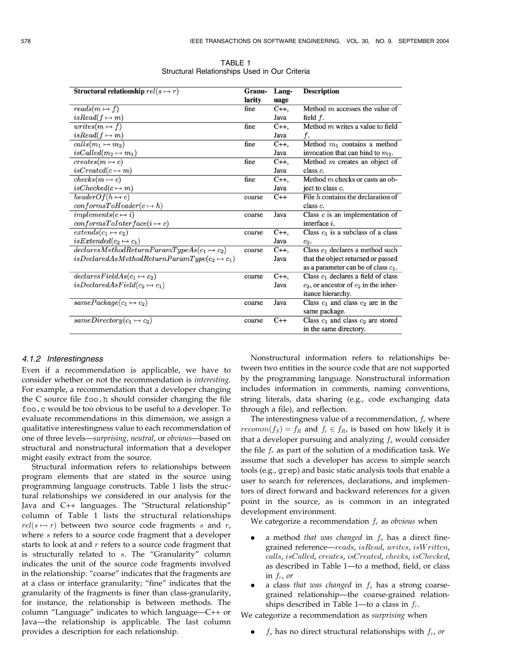| <b>Structural relationship</b> $rel(s \mapsto r)$       | Granu- | Lang-    | <b>Description</b>                         |
|---------------------------------------------------------|--------|----------|--------------------------------------------|
|                                                         | larity | uage     |                                            |
| $reads(m \mapsto f)$                                    | fine   | $C_{++}$ | Method $m$ accesses the value of           |
| $isRead(f \mapsto m)$                                   |        | Java     | field $f$ .                                |
| $writes(m \mapsto f)$                                   | fine   | $C_{++}$ | Method $m$ writes a value to field         |
| $isRead(f \mapsto m)$                                   |        | Java     | f.                                         |
| $calls(m_1 \rightarrow m_2)$                            | fine   | $C_{++}$ | Method $m_1$ contains a method             |
| isCalled $(m_2 \mapsto m_1)$                            |        | Java     | invocation that can bind to $m_2$ .        |
| $creates(m \mapsto c)$                                  | fine   | $C_{++}$ | Method $m$ creates an object of            |
| $isCreate(c \mapsto m)$                                 |        | Java     | $class c$ .                                |
| $checks(m \mapsto c)$                                   | fine   | $C++$ .  | Method $m$ checks or casts an ob-          |
| $isChecked(c \mapsto m)$                                |        | Java     | ject to class c.                           |
| $headerOf(h \rightarrow c)$                             | coarse | $C++$    | File $h$ contains the declaration of       |
| $conforms ToHeader(c \mapsto h)$                        |        |          | class $c$ .                                |
| $implements(c \mapsto i)$                               | coarse | Java     | Class $c$ is an implementation of          |
| $conforms Tolnterface (i \mapsto c)$                    |        |          | interface i.                               |
| $extends(c_1 \rightarrow c_2)$                          | coarse | $C_{++}$ | Class $c_1$ is a subclass of a class       |
| $isExtended(c_2\mapsto c_1)$                            |        | Java     | $c_2$ .                                    |
| $declares MethodReturnParamTypeAs(c_1 \rightarrow c_2)$ | coarse | $C_{++}$ | Class $c_1$ declares a method such         |
| $is Dedased AsMethodReturnParamType(c_2 \mapsto c_1)$   |        | Java     | that the object returned or passed         |
|                                                         |        |          | as a parameter can be of class $c_1$ .     |
| $declaresFieldAs(c_1 \mapsto c_2)$                      | coarse | $C_{++}$ | Class $c_1$ declares a field of class      |
| isDeclaredAsField $(c_2 \mapsto c_1)$                   |        | Java     | $c_2$ , or ancestor of $c_2$ in the inher- |
|                                                         |        |          | itance hierarchy.                          |
| $\overline{samePackage}(c_1 \mapsto c_2)$               | coarse | Java     | Class $c_1$ and class $c_2$ are in the     |
|                                                         |        |          | same package.                              |
| $sameDirectory(c_1 \rightarrow c_2)$                    | coarse | $C++$    | Class $c_1$ and class $c_2$ are stored     |
|                                                         |        |          | in the same directory.                     |

TABLE 1 Structural Relationships Used in Our Criteria

#### 4.1.2 Interestingness

Even if a recommendation is applicable, we have to consider whether or not the recommendation is interesting. For example, a recommendation that a developer changing the C source file foo.h should consider changing the file foo.c would be too obvious to be useful to a developer. To evaluate recommendations in this dimension, we assign a qualitative interestingness value to each recommendation of one of three levels—surprising, neutral, or obvious—based on structural and nonstructural information that a developer might easily extract from the source.

Structural information refers to relationships between program elements that are stated in the source using programming language constructs. Table 1 lists the structural relationships we considered in our analysis for the Java and C++ languages. The "Structural relationship" column of Table 1 lists the structural relationships  $rel(s \mapsto r)$  between two source code fragments s and r, where  $s$  refers to a source code fragment that a developer starts to look at and  $r$  refers to a source code fragment that is structurally related to s. The "Granularity" column indicates the unit of the source code fragments involved in the relationship: "coarse" indicates that the fragments are at a class or interface granularity; "fine" indicates that the granularity of the fragments is finer than class-granularity, for instance, the relationship is between methods. The column "Language" indicates to which language—C++ or Java—the relationship is applicable. The last column provides a description for each relationship.

Nonstructural information refers to relationships between two entities in the source code that are not supported by the programming language. Nonstructural information includes information in comments, naming conventions, string literals, data sharing (e.g., code exchanging data through a file), and reflection.

The interestingness value of a recommendation,  $f_r$  where  $recomm(f<sub>S</sub>) = f<sub>R</sub>$  and  $f<sub>r</sub> \in f<sub>R</sub>$ , is based on how likely it is that a developer pursuing and analyzing  $f_s$  would consider the file  $f_r$  as part of the solution of a modification task. We assume that such a developer has access to simple search tools (e.g., grep) and basic static analysis tools that enable a user to search for references, declarations, and implementors of direct forward and backward references for a given point in the source, as is common in an integrated development environment.

We categorize a recommendation  $f_r$  as *obvious* when

- a method that was changed in  $f_s$  has a direct finegrained reference—reads, isRead, writes, isW ritten, calls, isCalled, creates, isCreated, checks, isChecked, as described in Table 1—to a method, field, or class in  $f_r$ , or
- a class that was changed in  $f_s$  has a strong coarsegrained relationship—the coarse-grained relationships described in Table 1—to a class in  $f_r$ .

We categorize a recommendation as *surprising* when

 $f_s$  has no direct structural relationships with  $f_r$ , or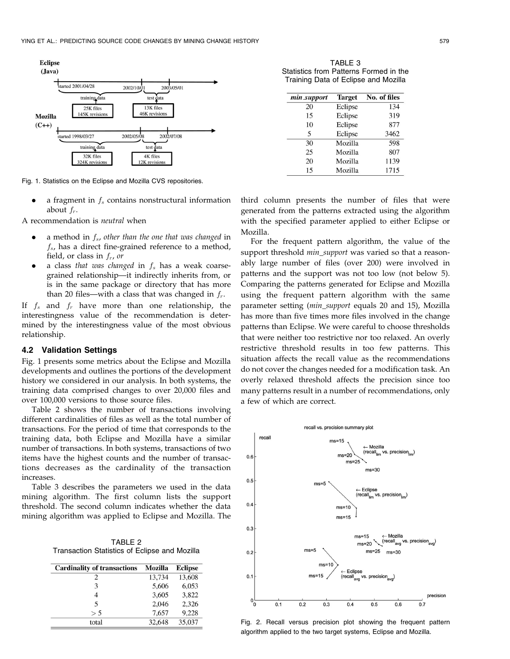

Fig. 1. Statistics on the Eclipse and Mozilla CVS repositories.

a fragment in  $f_s$  contains nonstructural information about  $f_r$ .

A recommendation is neutral when

- a method in  $f_s$ , other than the one that was changed in  $f_s$ , has a direct fine-grained reference to a method, field, or class in  $f_r$ , or
- a class that was changed in  $f_s$  has a weak coarsegrained relationship—it indirectly inherits from, or is in the same package or directory that has more than 20 files—with a class that was changed in  $f_r$ .

If  $f_s$  and  $f_r$  have more than one relationship, the interestingness value of the recommendation is determined by the interestingness value of the most obvious relationship.

# 4.2 Validation Settings

Fig. 1 presents some metrics about the Eclipse and Mozilla developments and outlines the portions of the development history we considered in our analysis. In both systems, the training data comprised changes to over 20,000 files and over 100,000 versions to those source files.

Table 2 shows the number of transactions involving different cardinalities of files as well as the total number of transactions. For the period of time that corresponds to the training data, both Eclipse and Mozilla have a similar number of transactions. In both systems, transactions of two items have the highest counts and the number of transactions decreases as the cardinality of the transaction increases.

Table 3 describes the parameters we used in the data mining algorithm. The first column lists the support threshold. The second column indicates whether the data mining algorithm was applied to Eclipse and Mozilla. The

TABLE 2 Transaction Statistics of Eclipse and Mozilla

| <b>Cardinality of transactions</b> | Mozilla | <b>Eclipse</b> |
|------------------------------------|---------|----------------|
| 2                                  | 13,734  | 13,608         |
| 3                                  | 5,606   | 6,053          |
| 4                                  | 3,605   | 3,822          |
| 5                                  | 2.046   | 2,326          |
| > 5                                | 7.657   | 9,228          |
| total                              | 32,648  | 35,037         |

TABLE 3 Statistics from Patterns Formed in the Training Data of Eclipse and Mozilla

| min_support | <b>Target</b> | No. of files |
|-------------|---------------|--------------|
| 20          | Eclipse       | 134          |
| 15          | Eclipse       | 319          |
| 10          | Eclipse       | 877          |
| 5           | Eclipse       | 3462         |
| 30          | Mozilla       | 598          |
| 25          | Mozilla       | 807          |
| 20          | Mozilla       | 1139         |
| 15          | Mozilla       | 1715         |

third column presents the number of files that were generated from the patterns extracted using the algorithm with the specified parameter applied to either Eclipse or Mozilla.

For the frequent pattern algorithm, the value of the support threshold min\_support was varied so that a reasonably large number of files (over 200) were involved in patterns and the support was not too low (not below 5). Comparing the patterns generated for Eclipse and Mozilla using the frequent pattern algorithm with the same parameter setting (min\_support equals 20 and 15), Mozilla has more than five times more files involved in the change patterns than Eclipse. We were careful to choose thresholds that were neither too restrictive nor too relaxed. An overly restrictive threshold results in too few patterns. This situation affects the recall value as the recommendations do not cover the changes needed for a modification task. An overly relaxed threshold affects the precision since too many patterns result in a number of recommendations, only a few of which are correct.



Fig. 2. Recall versus precision plot showing the frequent pattern algorithm applied to the two target systems, Eclipse and Mozilla.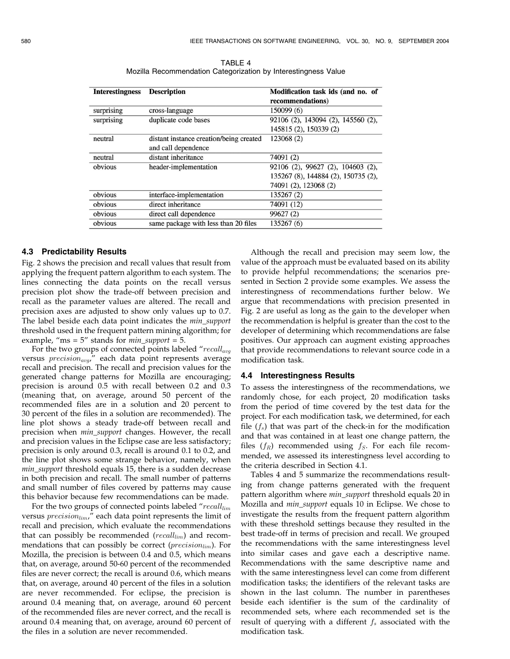| <b>Interestingness</b> | <b>Description</b>                      | Modification task ids (and no. of<br>recommendations) |
|------------------------|-----------------------------------------|-------------------------------------------------------|
| surprising             | cross-language                          | 150099(6)                                             |
| surprising             | duplicate code bases                    | 92106 (2), 143094 (2), 145560 (2),                    |
|                        |                                         | 145815 (2), 150339 (2)                                |
| neutral                | distant instance creation/being created | 123068 (2)                                            |
|                        | and call dependence                     |                                                       |
| neutral                | distant inheritance                     | 74091 (2)                                             |
| obvious                | header-implementation                   | 92106 (2), 99627 (2), 104603 (2),                     |
|                        |                                         | 135267 (8), 144884 (2), 150735 (2),                   |
|                        |                                         | 74091 (2), 123068 (2)                                 |
| obvious                | interface-implementation                | 135267 (2)                                            |
| obvious                | direct inheritance                      | 74091 (12)                                            |
| obvious                | direct call dependence                  | 99627 (2)                                             |
| obvious                | same package with less than 20 files    | 135267 (6)                                            |

TABLE 4 Mozilla Recommendation Categorization by Interestingness Value

# 4.3 Predictability Results

Fig. 2 shows the precision and recall values that result from applying the frequent pattern algorithm to each system. The lines connecting the data points on the recall versus precision plot show the trade-off between precision and recall as the parameter values are altered. The recall and precision axes are adjusted to show only values up to 0.7. The label beside each data point indicates the *min\_support* threshold used in the frequent pattern mining algorithm; for example, "ms =  $5$ " stands for *min\_support* =  $5$ .

For the two groups of connected points labeled "recall<sub>avg</sub> versus  $\mathit{precision}_{\mathit{avg}}$ ," each data point represents average recall and precision. The recall and precision values for the generated change patterns for Mozilla are encouraging; precision is around 0.5 with recall between 0.2 and 0.3 (meaning that, on average, around 50 percent of the recommended files are in a solution and 20 percent to 30 percent of the files in a solution are recommended). The line plot shows a steady trade-off between recall and precision when min\_support changes. However, the recall and precision values in the Eclipse case are less satisfactory; precision is only around 0.3, recall is around 0.1 to 0.2, and the line plot shows some strange behavior, namely, when min\_support threshold equals 15, there is a sudden decrease in both precision and recall. The small number of patterns and small number of files covered by patterns may cause this behavior because few recommendations can be made.

For the two groups of connected points labeled " $recall$ versus  $precision_{lim}$ ," each data point represents the limit of recall and precision, which evaluate the recommendations that can possibly be recommended  $(recall<sub>lim</sub>)$  and recommendations that can possibly be correct ( $precision_{lim}$ ). For Mozilla, the precision is between 0.4 and 0.5, which means that, on average, around 50-60 percent of the recommended files are never correct; the recall is around 0.6, which means that, on average, around 40 percent of the files in a solution are never recommended. For eclipse, the precision is around 0.4 meaning that, on average, around 60 percent of the recommended files are never correct, and the recall is around 0.4 meaning that, on average, around 60 percent of the files in a solution are never recommended.

Although the recall and precision may seem low, the value of the approach must be evaluated based on its ability to provide helpful recommendations; the scenarios presented in Section 2 provide some examples. We assess the interestingness of recommendations further below. We argue that recommendations with precision presented in Fig. 2 are useful as long as the gain to the developer when the recommendation is helpful is greater than the cost to the developer of determining which recommendations are false positives. Our approach can augment existing approaches that provide recommendations to relevant source code in a modification task.

#### 4.4 Interestingness Results

To assess the interestingness of the recommendations, we randomly chose, for each project, 20 modification tasks from the period of time covered by the test data for the project. For each modification task, we determined, for each file  $(f_s)$  that was part of the check-in for the modification and that was contained in at least one change pattern, the files  $(f_R)$  recommended using  $f_S$ . For each file recommended, we assessed its interestingness level according to the criteria described in Section 4.1.

Tables 4 and 5 summarize the recommendations resulting from change patterns generated with the frequent pattern algorithm where *min\_support* threshold equals 20 in Mozilla and min\_support equals 10 in Eclipse. We chose to investigate the results from the frequent pattern algorithm with these threshold settings because they resulted in the best trade-off in terms of precision and recall. We grouped the recommendations with the same interestingness level into similar cases and gave each a descriptive name. Recommendations with the same descriptive name and with the same interestingness level can come from different modification tasks; the identifiers of the relevant tasks are shown in the last column. The number in parentheses beside each identifier is the sum of the cardinality of recommended sets, where each recommended set is the result of querying with a different  $f_s$  associated with the modification task.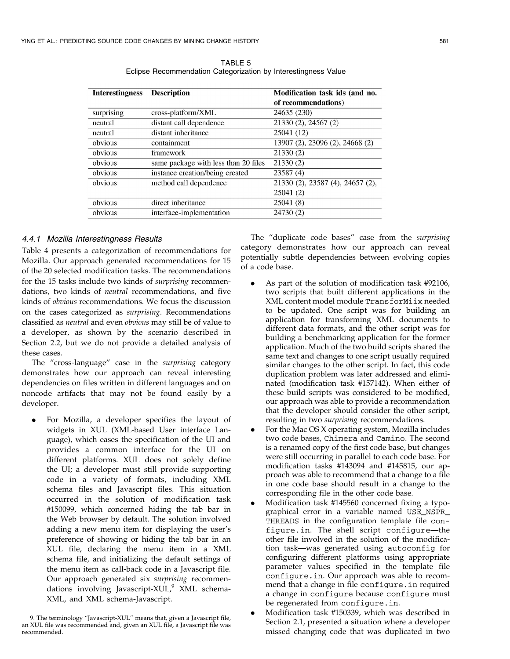| <b>Interestingness</b> | <b>Description</b>                   | Modification task ids (and no.   |
|------------------------|--------------------------------------|----------------------------------|
|                        |                                      | of recommendations)              |
| surprising             | cross-platform/XML                   | 24635 (230)                      |
| neutral                | distant call dependence              | 21330 (2), 24567 (2)             |
| neutral                | distant inheritance                  | 25041 (12)                       |
| obvious                | containment                          | 13907 (2), 23096 (2), 24668 (2)  |
| obvious                | framework                            | 21330(2)                         |
| obvious                | same package with less than 20 files | 21330(2)                         |
| obvious                | instance creation/being created      | 23587(4)                         |
| obvious                | method call dependence               | 21330 (2), 23587 (4), 24657 (2), |
|                        |                                      | 25041(2)                         |
| obvious                | direct inheritance                   | 25041 (8)                        |
| obvious                | interface-implementation             | 24730 (2)                        |

TABLE 5 Eclipse Recommendation Categorization by Interestingness Value

# 4.4.1 Mozilla Interestingness Results

Table 4 presents a categorization of recommendations for Mozilla. Our approach generated recommendations for 15 of the 20 selected modification tasks. The recommendations for the 15 tasks include two kinds of surprising recommendations, two kinds of neutral recommendations, and five kinds of obvious recommendations. We focus the discussion on the cases categorized as surprising. Recommendations classified as neutral and even obvious may still be of value to a developer, as shown by the scenario described in Section 2.2, but we do not provide a detailed analysis of these cases.

The "cross-language" case in the *surprising* category demonstrates how our approach can reveal interesting dependencies on files written in different languages and on noncode artifacts that may not be found easily by a developer.

. For Mozilla, a developer specifies the layout of widgets in XUL (XML-based User interface Language), which eases the specification of the UI and provides a common interface for the UI on different platforms. XUL does not solely define the UI; a developer must still provide supporting code in a variety of formats, including XML schema files and Javascript files. This situation occurred in the solution of modification task #150099, which concerned hiding the tab bar in the Web browser by default. The solution involved adding a new menu item for displaying the user's preference of showing or hiding the tab bar in an XUL file, declaring the menu item in a XML schema file, and initializing the default settings of the menu item as call-back code in a Javascript file. Our approach generated six surprising recommendations involving Javascript-XUL,<sup>9</sup> XML schema-XML, and XML schema-Javascript.

The "duplicate code bases" case from the surprising category demonstrates how our approach can reveal potentially subtle dependencies between evolving copies of a code base.

- . As part of the solution of modification task #92106, two scripts that built different applications in the XML content model module TransforMiix needed to be updated. One script was for building an application for transforming XML documents to different data formats, and the other script was for building a benchmarking application for the former application. Much of the two build scripts shared the same text and changes to one script usually required similar changes to the other script. In fact, this code duplication problem was later addressed and eliminated (modification task #157142). When either of these build scripts was considered to be modified, our approach was able to provide a recommendation that the developer should consider the other script, resulting in two surprising recommendations.
- . For the Mac OS X operating system, Mozilla includes two code bases, Chimera and Camino. The second is a renamed copy of the first code base, but changes were still occurring in parallel to each code base. For modification tasks #143094 and #145815, our approach was able to recommend that a change to a file in one code base should result in a change to the corresponding file in the other code base.
- . Modification task #145560 concerned fixing a typographical error in a variable named USE\_NSPR\_ THREADS in the configuration template file configure.in. The shell script configure—the other file involved in the solution of the modification task—was generated using autoconfig for configuring different platforms using appropriate parameter values specified in the template file configure.in. Our approach was able to recommend that a change in file configure.in required a change in configure because configure must be regenerated from configure.in.
- . Modification task #150339, which was described in Section 2.1, presented a situation where a developer missed changing code that was duplicated in two

<sup>9.</sup> The terminology "Javascript-XUL" means that, given a Javascript file, an XUL file was recommended and, given an XUL file, a Javascript file was recommended.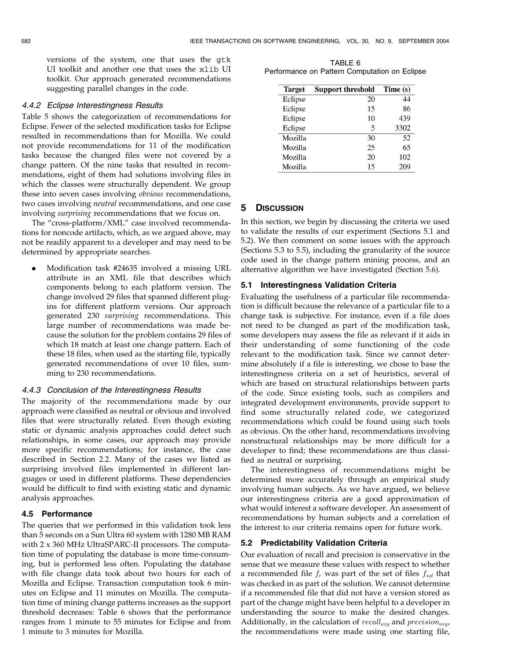versions of the system, one that uses the gtk UI toolkit and another one that uses the xlib UI toolkit. Our approach generated recommendations suggesting parallel changes in the code.

#### 4.4.2 Eclipse Interestingness Results

Table 5 shows the categorization of recommendations for Eclipse. Fewer of the selected modification tasks for Eclipse resulted in recommendations than for Mozilla. We could not provide recommendations for 11 of the modification tasks because the changed files were not covered by a change pattern. Of the nine tasks that resulted in recommendations, eight of them had solutions involving files in which the classes were structurally dependent. We group these into seven cases involving obvious recommendations, two cases involving neutral recommendations, and one case involving surprising recommendations that we focus on.

The "cross-platform/XML" case involved recommendations for noncode artifacts, which, as we argued above, may not be readily apparent to a developer and may need to be determined by appropriate searches.

. Modification task #24635 involved a missing URL attribute in an XML file that describes which components belong to each platform version. The change involved 29 files that spanned different plugins for different platform versions. Our approach generated 230 surprising recommendations. This large number of recommendations was made because the solution for the problem contains 29 files of which 18 match at least one change pattern. Each of these 18 files, when used as the starting file, typically generated recommendations of over 10 files, summing to 230 recommendations.

#### 4.4.3 Conclusion of the Interestingness Results

The majority of the recommendations made by our approach were classified as neutral or obvious and involved files that were structurally related. Even though existing static or dynamic analysis approaches could detect such relationships, in some cases, our approach may provide more specific recommendations; for instance, the case described in Section 2.2. Many of the cases we listed as surprising involved files implemented in different languages or used in different platforms. These dependencies would be difficult to find with existing static and dynamic analysis approaches.

#### 4.5 Performance

The queries that we performed in this validation took less than 5 seconds on a Sun Ultra 60 system with 1280 MB RAM with 2 x 360 MHz UltraSPARC-II processors. The computation time of populating the database is more time-consuming, but is performed less often. Populating the database with file change data took about two hours for each of Mozilla and Eclipse. Transaction computation took 6 minutes on Eclipse and 11 minutes on Mozilla. The computation time of mining change patterns increases as the support threshold decreases: Table 6 shows that the performance ranges from 1 minute to 55 minutes for Eclipse and from 1 minute to 3 minutes for Mozilla.

| TABLE 6                                       |  |
|-----------------------------------------------|--|
| Performance on Pattern Computation on Eclipse |  |

| <b>Target</b> | <b>Support threshold</b> | Time (s) |
|---------------|--------------------------|----------|
| Eclipse       | 20                       | 44       |
| Eclipse       | 15                       | 86       |
| Eclipse       | 10                       | 439      |
| Eclipse       | 5                        | 3302     |
| Mozilla       | 30                       | 52       |
| Mozilla       | 25                       | 65       |
| Mozilla       | 20                       | 102      |
| Mozilla       | 15                       | 209      |

# 5 DISCUSSION

In this section, we begin by discussing the criteria we used to validate the results of our experiment (Sections 5.1 and 5.2). We then comment on some issues with the approach (Sections 5.3 to 5.5), including the granularity of the source code used in the change pattern mining process, and an alternative algorithm we have investigated (Section 5.6).

## 5.1 Interestingness Validation Criteria

Evaluating the usefulness of a particular file recommendation is difficult because the relevance of a particular file to a change task is subjective. For instance, even if a file does not need to be changed as part of the modification task, some developers may assess the file as relevant if it aids in their understanding of some functioning of the code relevant to the modification task. Since we cannot determine absolutely if a file is interesting, we chose to base the interestingness criteria on a set of heuristics, several of which are based on structural relationships between parts of the code. Since existing tools, such as compilers and integrated development environments, provide support to find some structurally related code, we categorized recommendations which could be found using such tools as obvious. On the other hand, recommendations involving nonstructural relationships may be more difficult for a developer to find; these recommendations are thus classified as neutral or surprising.

The interestingness of recommendations might be determined more accurately through an empirical study involving human subjects. As we have argued, we believe our interestingness criteria are a good approximation of what would interest a software developer. An assessment of recommendations by human subjects and a correlation of the interest to our criteria remains open for future work.

#### 5.2 Predictability Validation Criteria

Our evaluation of recall and precision is conservative in the sense that we measure these values with respect to whether a recommended file  $f_r$  was part of the set of files  $f_{sol}$  that was checked in as part of the solution. We cannot determine if a recommended file that did not have a version stored as part of the change might have been helpful to a developer in understanding the source to make the desired changes. Additionally, in the calculation of  $recall_{avg}$  and  $precision_{avg}$ , the recommendations were made using one starting file,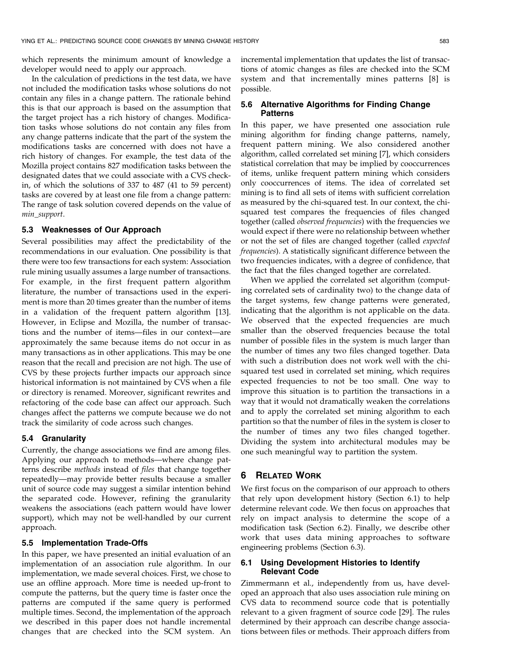which represents the minimum amount of knowledge a developer would need to apply our approach.

In the calculation of predictions in the test data, we have not included the modification tasks whose solutions do not contain any files in a change pattern. The rationale behind this is that our approach is based on the assumption that the target project has a rich history of changes. Modification tasks whose solutions do not contain any files from any change patterns indicate that the part of the system the modifications tasks are concerned with does not have a rich history of changes. For example, the test data of the Mozilla project contains 827 modification tasks between the designated dates that we could associate with a CVS checkin, of which the solutions of 337 to 487 (41 to 59 percent) tasks are covered by at least one file from a change pattern: The range of task solution covered depends on the value of min\_support.

# 5.3 Weaknesses of Our Approach

Several possibilities may affect the predictability of the recommendations in our evaluation. One possibility is that there were too few transactions for each system: Association rule mining usually assumes a large number of transactions. For example, in the first frequent pattern algorithm literature, the number of transactions used in the experiment is more than 20 times greater than the number of items in a validation of the frequent pattern algorithm [13]. However, in Eclipse and Mozilla, the number of transactions and the number of items—files in our context—are approximately the same because items do not occur in as many transactions as in other applications. This may be one reason that the recall and precision are not high. The use of CVS by these projects further impacts our approach since historical information is not maintained by CVS when a file or directory is renamed. Moreover, significant rewrites and refactoring of the code base can affect our approach. Such changes affect the patterns we compute because we do not track the similarity of code across such changes.

# 5.4 Granularity

Currently, the change associations we find are among files. Applying our approach to methods—where change patterns describe methods instead of files that change together repeatedly—may provide better results because a smaller unit of source code may suggest a similar intention behind the separated code. However, refining the granularity weakens the associations (each pattern would have lower support), which may not be well-handled by our current approach.

#### 5.5 Implementation Trade-Offs

In this paper, we have presented an initial evaluation of an implementation of an association rule algorithm. In our implementation, we made several choices. First, we chose to use an offline approach. More time is needed up-front to compute the patterns, but the query time is faster once the patterns are computed if the same query is performed multiple times. Second, the implementation of the approach we described in this paper does not handle incremental changes that are checked into the SCM system. An

incremental implementation that updates the list of transactions of atomic changes as files are checked into the SCM system and that incrementally mines patterns [8] is possible.

#### 5.6 Alternative Algorithms for Finding Change **Patterns**

In this paper, we have presented one association rule mining algorithm for finding change patterns, namely, frequent pattern mining. We also considered another algorithm, called correlated set mining [7], which considers statistical correlation that may be implied by cooccurrences of items, unlike frequent pattern mining which considers only cooccurrences of items. The idea of correlated set mining is to find all sets of items with sufficient correlation as measured by the chi-squared test. In our context, the chisquared test compares the frequencies of files changed together (called observed frequencies) with the frequencies we would expect if there were no relationship between whether or not the set of files are changed together (called expected frequencies). A statistically significant difference between the two frequencies indicates, with a degree of confidence, that the fact that the files changed together are correlated.

When we applied the correlated set algorithm (computing correlated sets of cardinality two) to the change data of the target systems, few change patterns were generated, indicating that the algorithm is not applicable on the data. We observed that the expected frequencies are much smaller than the observed frequencies because the total number of possible files in the system is much larger than the number of times any two files changed together. Data with such a distribution does not work well with the chisquared test used in correlated set mining, which requires expected frequencies to not be too small. One way to improve this situation is to partition the transactions in a way that it would not dramatically weaken the correlations and to apply the correlated set mining algorithm to each partition so that the number of files in the system is closer to the number of times any two files changed together. Dividing the system into architectural modules may be one such meaningful way to partition the system.

# 6 RELATED WORK

We first focus on the comparison of our approach to others that rely upon development history (Section 6.1) to help determine relevant code. We then focus on approaches that rely on impact analysis to determine the scope of a modification task (Section 6.2). Finally, we describe other work that uses data mining approaches to software engineering problems (Section 6.3).

# 6.1 Using Development Histories to Identify Relevant Code

Zimmermann et al., independently from us, have developed an approach that also uses association rule mining on CVS data to recommend source code that is potentially relevant to a given fragment of source code [29]. The rules determined by their approach can describe change associations between files or methods. Their approach differs from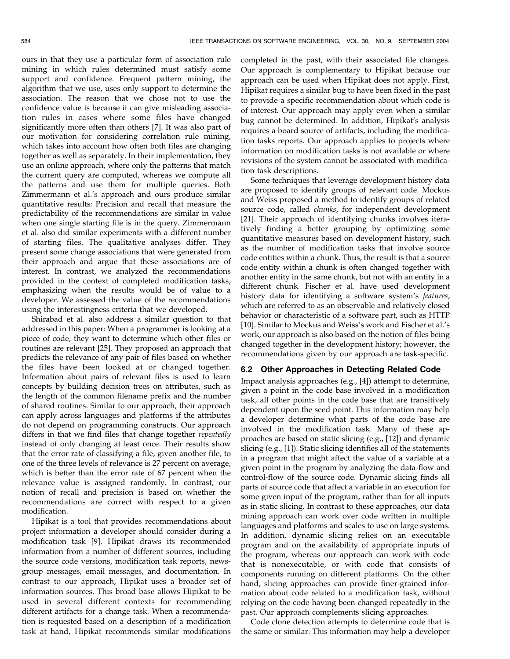ours in that they use a particular form of association rule mining in which rules determined must satisfy some support and confidence. Frequent pattern mining, the algorithm that we use, uses only support to determine the association. The reason that we chose not to use the confidence value is because it can give misleading association rules in cases where some files have changed significantly more often than others [7]. It was also part of our motivation for considering correlation rule mining, which takes into account how often both files are changing together as well as separately. In their implementation, they use an online approach, where only the patterns that match the current query are computed, whereas we compute all the patterns and use them for multiple queries. Both Zimmermann et al.'s approach and ours produce similar quantitative results: Precision and recall that measure the predictability of the recommendations are similar in value when one single starting file is in the query. Zimmermann et al. also did similar experiments with a different number of starting files. The qualitative analyses differ. They present some change associations that were generated from their approach and argue that these associations are of interest. In contrast, we analyzed the recommendations provided in the context of completed modification tasks, emphasizing when the results would be of value to a developer. We assessed the value of the recommendations using the interestingness criteria that we developed.

Shirabad et al. also address a similar question to that addressed in this paper: When a programmer is looking at a piece of code, they want to determine which other files or routines are relevant [25]. They proposed an approach that predicts the relevance of any pair of files based on whether the files have been looked at or changed together. Information about pairs of relevant files is used to learn concepts by building decision trees on attributes, such as the length of the common filename prefix and the number of shared routines. Similar to our approach, their approach can apply across languages and platforms if the attributes do not depend on programming constructs. Our approach differs in that we find files that change together repeatedly instead of only changing at least once. Their results show that the error rate of classifying a file, given another file, to one of the three levels of relevance is 27 percent on average, which is better than the error rate of 67 percent when the relevance value is assigned randomly. In contrast, our notion of recall and precision is based on whether the recommendations are correct with respect to a given modification.

Hipikat is a tool that provides recommendations about project information a developer should consider during a modification task [9]. Hipikat draws its recommended information from a number of different sources, including the source code versions, modification task reports, newsgroup messages, email messages, and documentation. In contrast to our approach, Hipikat uses a broader set of information sources. This broad base allows Hipikat to be used in several different contexts for recommending different artifacts for a change task. When a recommendation is requested based on a description of a modification task at hand, Hipikat recommends similar modifications completed in the past, with their associated file changes. Our approach is complementary to Hipikat because our approach can be used when Hipikat does not apply. First, Hipikat requires a similar bug to have been fixed in the past to provide a specific recommendation about which code is of interest. Our approach may apply even when a similar bug cannot be determined. In addition, Hipikat's analysis requires a board source of artifacts, including the modification tasks reports. Our approach applies to projects where information on modification tasks is not available or where revisions of the system cannot be associated with modification task descriptions.

Some techniques that leverage development history data are proposed to identify groups of relevant code. Mockus and Weiss proposed a method to identify groups of related source code, called chunks, for independent development [21]. Their approach of identifying chunks involves iteratively finding a better grouping by optimizing some quantitative measures based on development history, such as the number of modification tasks that involve source code entities within a chunk. Thus, the result is that a source code entity within a chunk is often changed together with another entity in the same chunk, but not with an entity in a different chunk. Fischer et al. have used development history data for identifying a software system's features, which are referred to as an observable and relatively closed behavior or characteristic of a software part, such as HTTP [10]. Similar to Mockus and Weiss's work and Fischer et al.'s work, our approach is also based on the notion of files being changed together in the development history; however, the recommendations given by our approach are task-specific.

# 6.2 Other Approaches in Detecting Related Code

Impact analysis approaches (e.g., [4]) attempt to determine, given a point in the code base involved in a modification task, all other points in the code base that are transitively dependent upon the seed point. This information may help a developer determine what parts of the code base are involved in the modification task. Many of these approaches are based on static slicing (e.g., [12]) and dynamic slicing (e.g., [1]). Static slicing identifies all of the statements in a program that might affect the value of a variable at a given point in the program by analyzing the data-flow and control-flow of the source code. Dynamic slicing finds all parts of source code that affect a variable in an execution for some given input of the program, rather than for all inputs as in static slicing. In contrast to these approaches, our data mining approach can work over code written in multiple languages and platforms and scales to use on large systems. In addition, dynamic slicing relies on an executable program and on the availability of appropriate inputs of the program, whereas our approach can work with code that is nonexecutable, or with code that consists of components running on different platforms. On the other hand, slicing approaches can provide finer-grained information about code related to a modification task, without relying on the code having been changed repeatedly in the past. Our approach complements slicing approaches.

Code clone detection attempts to determine code that is the same or similar. This information may help a developer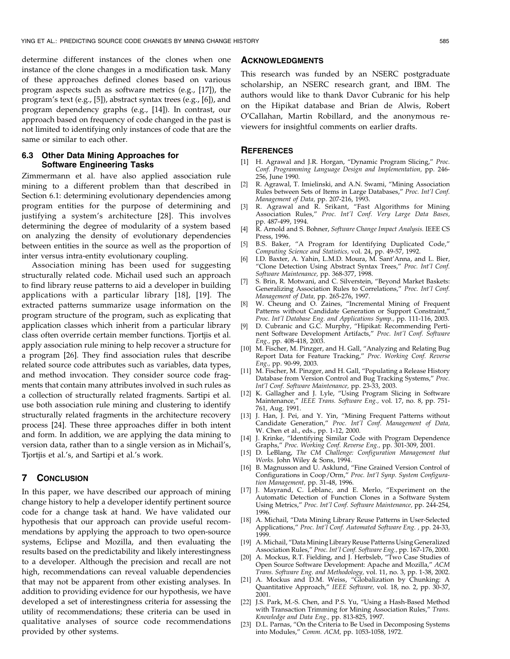determine different instances of the clones when one instance of the clone changes in a modification task. Many of these approaches defined clones based on various program aspects such as software metrics (e.g., [17]), the program's text (e.g., [5]), abstract syntax trees (e.g., [6]), and program dependency graphs (e.g., [14]). In contrast, our approach based on frequency of code changed in the past is not limited to identifying only instances of code that are the same or similar to each other.

#### 6.3 Other Data Mining Approaches for Software Engineering Tasks

Zimmermann et al. have also applied association rule mining to a different problem than that described in Section 6.1: determining evolutionary dependencies among program entities for the purpose of determining and justifying a system's architecture [28]. This involves determining the degree of modularity of a system based on analyzing the density of evolutionary dependencies between entities in the source as well as the proportion of inter versus intra-entity evolutionary coupling.

Association mining has been used for suggesting structurally related code. Michail used such an approach to find library reuse patterns to aid a developer in building applications with a particular library [18], [19]. The extracted patterns summarize usage information on the program structure of the program, such as explicating that application classes which inherit from a particular library class often override certain member functions. Tjortjis et al. apply association rule mining to help recover a structure for a program [26]. They find association rules that describe related source code attributes such as variables, data types, and method invocation. They consider source code fragments that contain many attributes involved in such rules as a collection of structurally related fragments. Sartipi et al. use both association rule mining and clustering to identify structurally related fragments in the architecture recovery process [24]. These three approaches differ in both intent and form. In addition, we are applying the data mining to version data, rather than to a single version as in Michail's, Tjortjis et al.'s, and Sartipi et al.'s work.

#### 7 CONCLUSION

In this paper, we have described our approach of mining change history to help a developer identify pertinent source code for a change task at hand. We have validated our hypothesis that our approach can provide useful recommendations by applying the approach to two open-source systems, Eclipse and Mozilla, and then evaluating the results based on the predictability and likely interestingness to a developer. Although the precision and recall are not high, recommendations can reveal valuable dependencies that may not be apparent from other existing analyses. In addition to providing evidence for our hypothesis, we have developed a set of interestingness criteria for assessing the utility of recommendations; these criteria can be used in qualitative analyses of source code recommendations provided by other systems.

#### ACKNOWLEDGMENTS

This research was funded by an NSERC postgraduate scholarship, an NSERC research grant, and IBM. The authors would like to thank Davor Cubranic for his help on the Hipikat database and Brian de Alwis, Robert O'Callahan, Martin Robillard, and the anonymous reviewers for insightful comments on earlier drafts.

## **REFERENCES**

- [1] H. Agrawal and J.R. Horgan, "Dynamic Program Slicing," Proc. Conf. Programming Language Design and Implementation, pp. 246- 256, June 1990.
- [2] R. Agrawal, T. Imielinski, and A.N. Swami, "Mining Association Rules between Sets of Items in Large Databases," Proc. Int'l Conf. Management of Data, pp. 207-216, 1993.
- [3] R. Agrawal and R. Srikant, "Fast Algorithms for Mining Association Rules," Proc. Int'l Conf. Very Large Data Bases, pp. 487-499, 1994.
- [4] R. Arnold and S. Bohner, Software Change Impact Analysis. IEEE CS Press, 1996.
- [5] B.S. Baker, "A Program for Identifying Duplicated Code," Computing Science and Statistics, vol. 24, pp. 49-57, 1992.
- [6] I.D. Baxter, A. Yahin, L.M.D. Moura, M. Sant'Anna, and L. Bier, "Clone Detection Using Abstract Syntax Trees," Proc. Int'l Conf. Software Maintenance, pp. 368-377, 1998.
- [7] S. Brin, R. Motwani, and C. Silverstein, "Beyond Market Baskets: Generalizing Association Rules to Correlations," Proc. Int'l Conf. Management of Data, pp. 265-276, 1997.
- [8] W. Cheung and O. Zaines, "Incremental Mining of Frequent Patterns without Candidate Generation or Support Constraint,' Proc. Int'l Database Eng. and Applications Symp., pp. 111-116, 2003.
- [9] D. Cubranic and G.C. Murphy, "Hipikat: Recommending Pertinent Software Development Artifacts," Proc. Int'l Conf. Software Eng., pp. 408-418, 2003.
- [10] M. Fischer, M. Pinzger, and H. Gall, "Analyzing and Relating Bug Report Data for Feature Tracking," Proc. Working Conf. Reverse Eng., pp. 90-99, 2003.
- [11] M. Fischer, M. Pinzger, and H. Gall, "Populating a Release History Database from Version Control and Bug Tracking Systems," Proc. Int'l Conf. Software Maintenance, pp. 23-33, 2003.
- [12] K. Gallagher and J. Lyle, "Using Program Slicing in Software Maintenance," IEEE Trans. Software Eng., vol. 17, no. 8, pp. 751- 761, Aug. 1991.
- [13] J. Han, J. Pei, and Y. Yin, "Mining Frequent Patterns without Candidate Generation," Proc. Int'l Conf. Management of Data, W. Chen et al., eds., pp. 1-12, 2000.
- [14] J. Krinke, "Identifying Similar Code with Program Dependence Graphs," Proc. Working Conf. Reverse Eng., pp. 301-309, 2001.
- [15] D. LeBlang, The CM Challenge: Configuration Management that Works. John Wiley & Sons, 1994.
- [16] B. Magnusson and U. Asklund, "Fine Grained Version Control of Configurations in Coop/Orm," Proc. Int'l Synp. System Configuration Management, pp. 31-48, 1996.
- [17] J. Mayrand, C. Leblanc, and E. Merlo, "Experiment on the Automatic Detection of Function Clones in a Software System Using Metrics," Proc. Int'l Conf. Software Maintenance, pp. 244-254, 1996.
- [18] A. Michail, "Data Mining Library Reuse Patterns in User-Selected Applications," Proc. Int'l Conf. Automated Software Eng. , pp. 24-33, 1999.
- [19] A.Michail, "DataMining Library Reuse Patterns Using Generalized Association Rules," Proc. Int'l Conf. Software Eng., pp. 167-176, 2000.
- [20] A. Mockus, R.T. Fielding, and J. Herbsleb, "Two Case Studies of Open Source Software Development: Apache and Mozilla," ACM Trans. Software Eng. and Methodology, vol. 11, no. 3, pp. 1-38, 2002.
- [21] A. Mockus and D.M. Weiss, "Globalization by Chunking: A Quantitative Approach," IEEE Software, vol. 18, no. 2, pp. 30-37, 2001.
- [22] J.S. Park, M.-S. Chen, and P.S. Yu, "Using a Hash-Based Method with Transaction Trimming for Mining Association Rules," Trans. Knowledge and Data Eng., pp. 813-825, 1997.
- [23] D.L. Parnas, "On the Criteria to Be Used in Decomposing Systems into Modules," Comm. ACM, pp. 1053-1058, 1972.